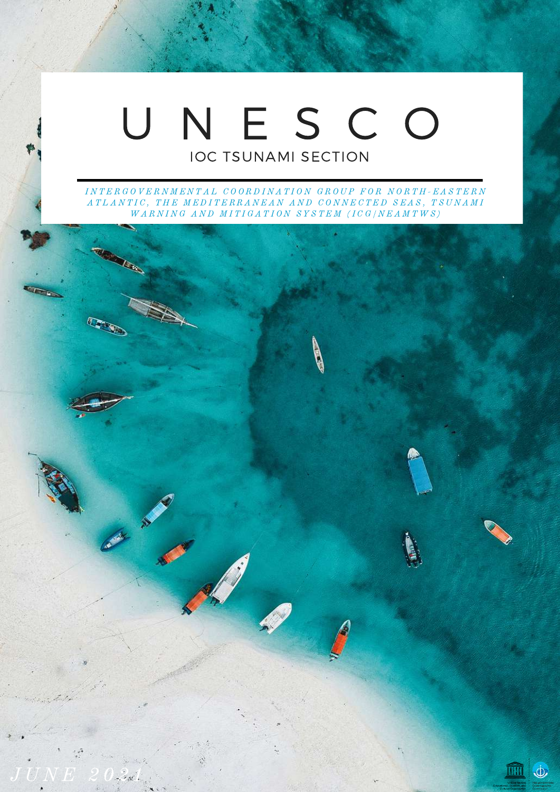### U N E S C O IOC TSUNAMI SECTION

INTERGOVERNMENTAL COORDINATION GROUP FOR NORTH-EASTERN A TLANTIC, THE MEDITERRANEAN AND CONNECTED SEAS, TSUNAMI  $\begin{array}{lll} \hbox{WARMING AND MITIGATION SYSTEM (ICG/NEAMTWS) } \end{array}$ 

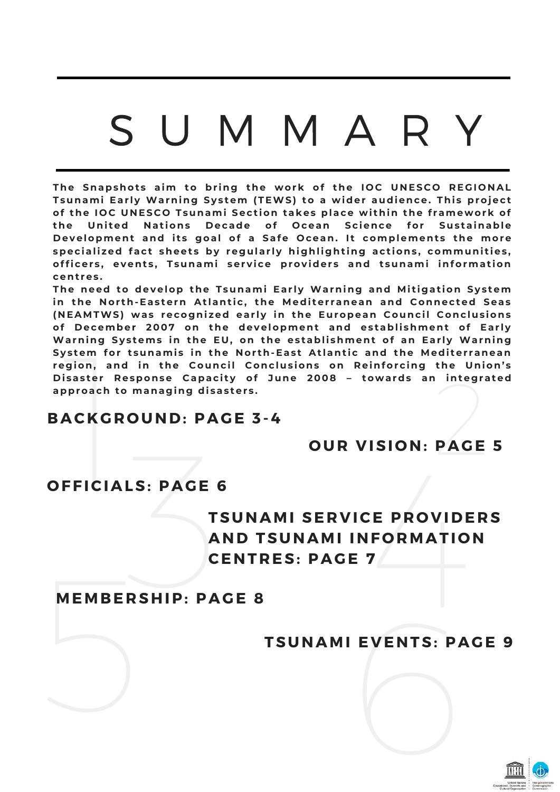## S U M M A R Y

The Snapshots aim to bring the work of the IOC UNESCO REGIONAL **Tsunami Ear l y Warnin g Sy s tem (TEWS) to a wider audience. Thi s projec t** of the IOC UNESCO Tsunami Section takes place within the framework of **the Uni ted N at ions D ecade of O cean Sc ience for Sus tainable D evelopment and i t s g oal of a Safe O cean. I t complement s the more** specialized fact sheets by regularly highlighting actions, communities, **offi cer s , event s , Tsunami ser v i ce prov ider s and t sunami informat ion cent res .**

NEAMTWS) wa<br>f December<br>/arning System<br>/arning System<br>ystem for tsu<br>egion, and in<br>isaster Respo<br>pproach to ma<br>**ACKGROL** the Union's<br>
integrated<br>
PAGE 5 **The need to develop the Tsunami Ear l y Warnin g and Mi t i g at ion Sy s tem in the N or th-Eas tern At lant i c , the Medi ter ranean and C onnec ted Seas** (NEAMTWS) was recognized early in the European Council Conclusions **of D ecember 2007 on the development and es tabli shment of Ear l y Warnin g Sy s tems in the EU, on the es tabli shment of an Ear l y Warnin g** System for tsunamis in the North-East Atlantic and the Mediterranean region, and in the Council Conclusions on Reinforcing the Union's **D i sas ter R esponse C apac i t y of June 2008 – towards an inte g rated approach to mana g in g di sas ter s .**

#### **BAC K G R O UND: PAG E 3 -4**

#### **O UR V ISI O N: PAG E 5**

#### **O FFICIALS: PAG E 6**

## OUND: PAGE 3-4<br>
OUR VISION: PAGE 5<br>
LS: PAGE 6<br>
TSUNAMI SERVICE PROVIDERS<br>
AND TSUNAMI INFORMATION<br>
CENTRES: PAGE 7<br>
RSHIP: PAGE 8 **TSUNAMI SE R V ICE P R O V IDE R S AND TSUNAMI INF O RMATI O N CENT R ES: PAG E 7**

# **MEMB E R SHIP: PAG E 8** MEMBERSHII

# **TSUNAMI E V ENTS: PAG E 9** EVENTS: PAGE

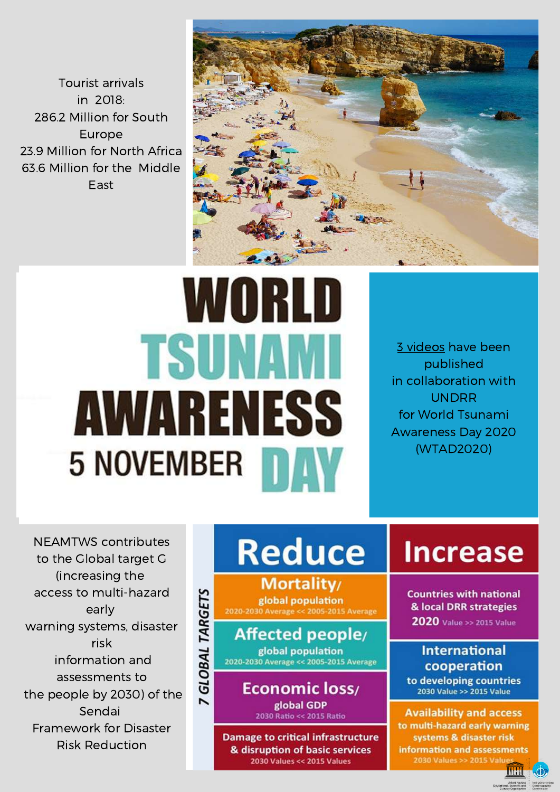**Tourist arrivals** in 2018· 286.2 Million for South Europe 23.9 Million for North Africa 63.6 Million for the Middle Fast



# WORLD **TSUNAMI** AWARENESS 5 NOVEMBER 1

3 videos have been published in collaboration with **UNDRR** for World Tsunami **Awareness Day 2020** (WTAD2020)

**NEAMTWS** contributes to the Global target G (increasing the access to multi-hazard early warning systems, disaster risk information and assessments to the people by 2030) of the Sendai Framework for Disaster **Risk Reduction** 

## **Reduce**

**Mortality** 7 GLOBAL TARGETS global population 2020-2030 Average << 2005-2015 Average

Affected people/ global population 2020-2030 Average << 2005-2015 Average

> Economic loss/ global GDP 2030 Ratio << 2015 Ratio

**Damage to critical infrastructure** & disruption of basic services 2030 Values << 2015 Values

### **Increase**

**Countries with national** & local DRR strategies **2020** Value >> 2015 Value

#### **International** cooperation

to developing countries 2030 Value >> 2015 Value

**Availability and access** to multi-hazard early warning systems & disaster risk information and assessments 2030 Values >> 2015 Valu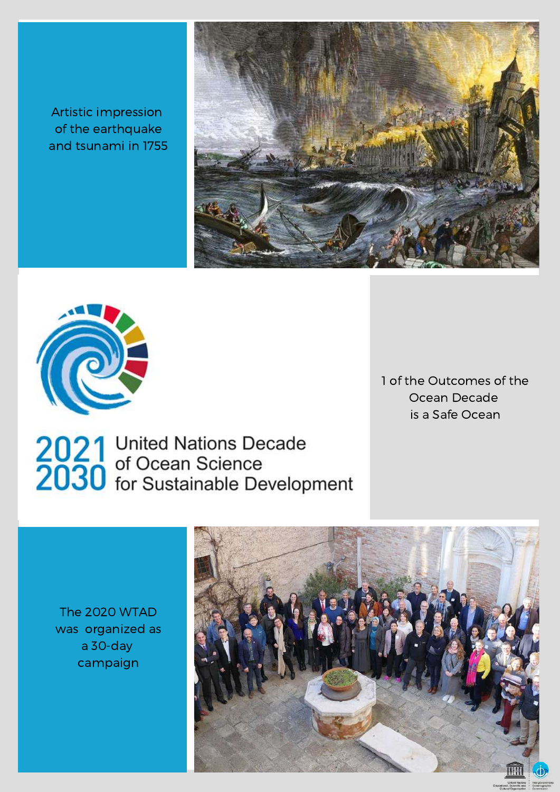Artistic impression of the [earthquake](https://www.youtube.com/playlist?list=PLWuYED1WVJIO3g5f7y_aDXtX7LVHDmoOn) and tsunami in 1755





1 of the Outcomes of the Ocean Decade is a Safe Ocean

2021 United Nations Decade<br>2030 of Ocean Science<br>2030 for Sustainable Development

The 2020 WTAD was organized as a 30-day campaign

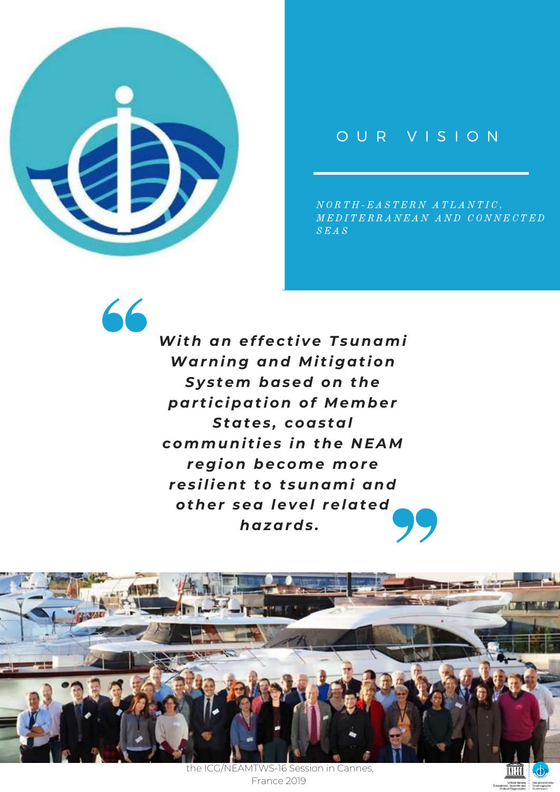

66

#### O U R V I S I O N

 $N \, O \, R \, T \, H \, \text{-} \, E \, A \, S \, T \, E \, R \, N \, \, A \, \, T \, L \, A \, N \, T \, I \, C \, ,$ M E D I T E R R A N E A N A N D C O N N E C T E D  $S$  $E$  $A$  $S$ 

*Wi th an effec t i ve Tsunami Warnin g and Mi t i g at ion Sy s tem based on the par t i c ipat ion of Member States , coas tal communi t ies in the N EAM re g ion become more res ilient to t sunami and other sea level related hazards .*



the ICG/NEAMTWS-16 Session in Cannes, France 2019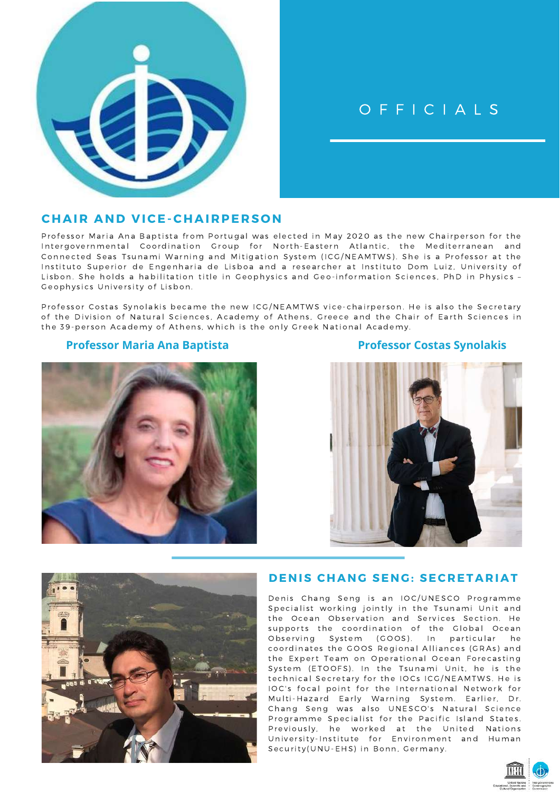

#### OFFICIALS

#### **CHAIR AND VICE-CHAIRPERSON**

Professor Maria Ana Baptista from Portugal was elected in May 2020 as the new Chairperson for the Intergovernmental Coordination Group for North-Eastern Atlantic, the Mediterranean and Connected Seas Tsunami Warning and Mitigation System (ICG/NEAMTWS). She is a Professor at the Instituto Superior de Engenharia de Lisboa and a researcher at Instituto Dom Luiz, University of Lisbon. She holds a habilitation title in Geophysics and Geo-information Sciences, PhD in Physics -Geophysics University of Lisbon.

Professor Costas Synolakis became the new ICG/NEAMTWS vice-chairperson. He is also the Secretary of the Division of Natural Sciences, Academy of Athens, Greece and the Chair of Earth Sciences in the 39-person Academy of Athens, which is the only Greek National Academy.

#### **Professor Maria Ana Baptista**









#### **DENIS CHANG SENG: SECRETARIAT**

Denis Chang Seng is an IOC/UNESCO Programme Specialist working jointly in the Tsunami Unit and the Ocean Observation and Services Section. He supports the coordination of the Global Ocean Observing System (GOOS). In particular he coordinates the GOOS Regional Alliances (GRAs) and the Expert Team on Operational Ocean Forecasting System (ETOOFS). In the Tsunami Unit, he is the technical Secretary for the IOCs ICG/NEAMTWS. He is IOC's focal point for the International Network for Multi-Hazard Early Warning System. Earlier, Dr. Chang Seng was also UNESCO's Natural Science Programme Specialist for the Pacific Island States. Previously, he worked at the United Nations University-Institute for Environment and Human Security(UNU-EHS) in Bonn, Germany.

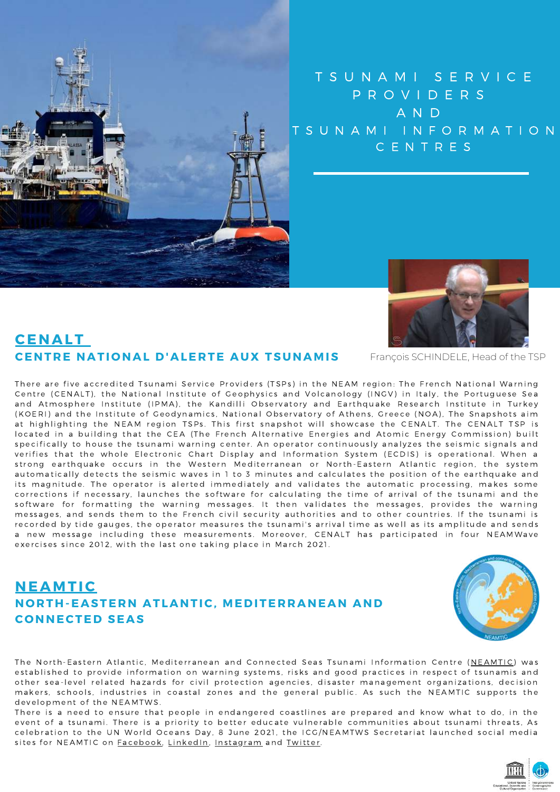

#### TSUNAMI SERVICE PROVIDERS **AND** TSUNAMI INFORMATION CENTRES



François SCHINDELE, Head of the TSP

#### **CENALT** CENTRE NATIONAL D'ALERTE AUX TSUNAMIS

There are five accredited Tsunami Service Providers (TSPs) in the NEAM region: The French National Warning Centre (CENALT), the National Institute of Geophysics and Volcanology (INGV) in Italy, the Portuguese Sea and Atmosphere Institute (IPMA), the Kandilli Observatory and Earthquake Research Institute in Turkey (KOERI) and the Institute of Geodynamics, National Observatory of Athens, Greece (NOA), The Snapshots aim at highlighting the NEAM region TSPs. This first snapshot will showcase the CENALT. The CENALT TSP is located in a building that the CEA (The French Alternative Energies and Atomic Energy Commission) built specifically to house the tsunami warning center. An operator continuously analyzes the seismic signals and verifies that the whole Electronic Chart Display and Information System (ECDIS) is operational. When a strong earthquake occurs in the Western Mediterranean or North-Eastern Atlantic region, the system automatically detects the seismic waves in 1 to 3 minutes and calculates the position of the earthquake and its magnitude. The operator is alerted immediately and validates the automatic processing, makes some corrections if necessary, launches the software for calculating the time of arrival of the tsunami and the software for formatting the warning messages. It then validates the messages, provides the warning messages, and sends them to the French civil security authorities and to other countries. If the tsunami is recorded by tide gauges, the operator measures the tsunami's arrival time as well as its amplitude and sends a new message including these measurements. Moreover, CENALT has participated in four NEAMWave exercises since 2012, with the last one taking place in March 2021.

#### **NEAMTIC** NORTH-EASTERN ATLANTIC, MEDITERRANEAN AND **CONNECTED SEAS**



The North-Eastern Atlantic, Mediterranean and Connected Seas Tsunami Information Centre (NEAMTIC) was established to provide information on warning systems, risks and good practices in respect of tsunamis and other sea-level related hazards for civil protection agencies, disaster management organizations, decision makers, schools, industries in coastal zones and the general public. As such the NEAMTIC supports the development of the NEAMTWS.

There is a need to ensure that people in endangered coastlines are prepared and know what to do, in the event of a tsunami. There is a priority to better educate vulnerable communities about tsunami threats, As celebration to the UN World Oceans Day, 8 June 2021, the ICG/NEAMTWS Secretariat launched social media sites for NEAMTIC on Facebook, LinkedIn, Instagram and Twitter.

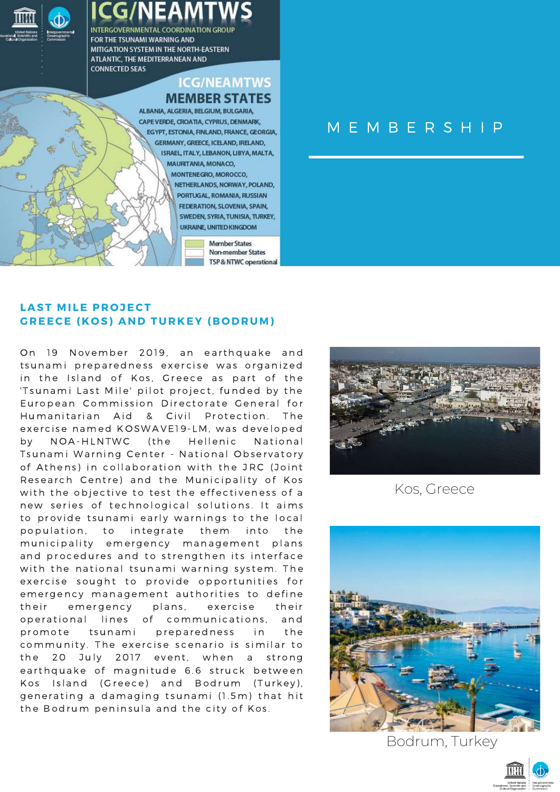

**Member States Non-member States** TSP & NTWC operational

SWEDEN, SYRIA, TUNISIA, TURKEY, UKRAINE, UNITED KINGDOM

#### M E M B E R S H I P

#### **LAST MILE PROJECT G R EECE ( K O S) AND TUR K EY ( B O DRUM)**

On 19 November 2019, an earthquake and tsunami preparedness exercise was organized in the Island of Kos, Greece as part of the 'Tsunami Last Mile' pilot project, funded by the European Commission Directorate General for Humanitarian Aid & Civil Protection. The exercise named KOSWAVE19-LM, was developed by NOA-HLNTWC (the Hellenic National Tsunami Warning Center - National Observatory of Athens) in collaboration with the JRC (Joint Research Centre) and the Municipality of Kos with the objective to test the effectiveness of a new series of technological solutions. It aims to provide tsunami early warnings to the local population, to integrate them into the municipality emergency management plans and procedures and to strengthen its interface with the national tsunami warning system. The exercise sought to provide opportunities for emergency management authorities to define their emergency plans, exercise their operational lines of communications, and promote tsunami preparedness in the community. The exercise scenario is similar to the 20 July 2017 event, when a strong earthquake of magnitude 6.6 struck between Kos Island (Greece) and Bodrum (Turkey), generating a damaging tsunami (1.5m) that hit the Bodrum peninsula and the city of Kos.



Kos, Greece



Bodrum, Turkey

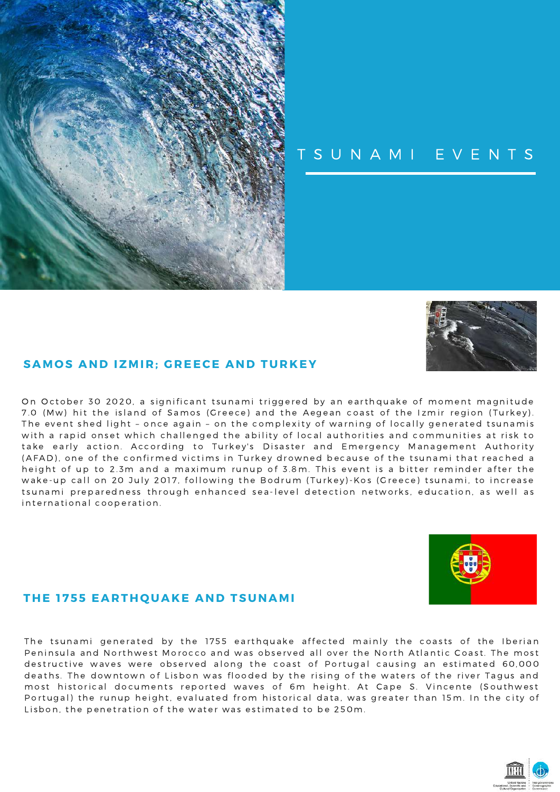

#### TSUNAMI EVENTS



#### **SAMOS AND IZMIR: GREECE AND TURKEY**

On October 30 2020, a significant tsunami triggered by an earthquake of moment magnitude 7.0 (Mw) hit the island of Samos (Greece) and the Aegean coast of the Izmir region (Turkey). The event shed light - once again - on the complexity of warning of locally generated tsunamis with a rapid onset which challenged the ability of local authorities and communities at risk to take early action. According to Turkey's Disaster and Emergency Management Authority (AFAD), one of the confirmed victims in Turkey drowned because of the tsunami that reached a height of up to 2.3m and a maximum runup of 3.8m. This event is a bitter reminder after the wake-up call on 20 July 2017, following the Bodrum (Turkey)-Kos (Greece) tsunami, to increase tsunami preparedness through enhanced sea-level detection networks, education, as well as international cooperation.



#### THE 1755 EARTHQUAKE AND TSUNAMI

The tsunami generated by the 1755 earthquake affected mainly the coasts of the Iberian Peninsula and Northwest Morocco and was observed all over the North Atlantic Coast. The most destructive waves were observed along the coast of Portugal causing an estimated 60,000 deaths. The downtown of Lisbon was flooded by the rising of the waters of the river Tagus and most historical documents reported waves of 6m height. At Cape S. Vincente (Southwest Portugal) the runup height, evaluated from historical data, was greater than 15m. In the city of Lisbon, the penetration of the water was estimated to be 250m.